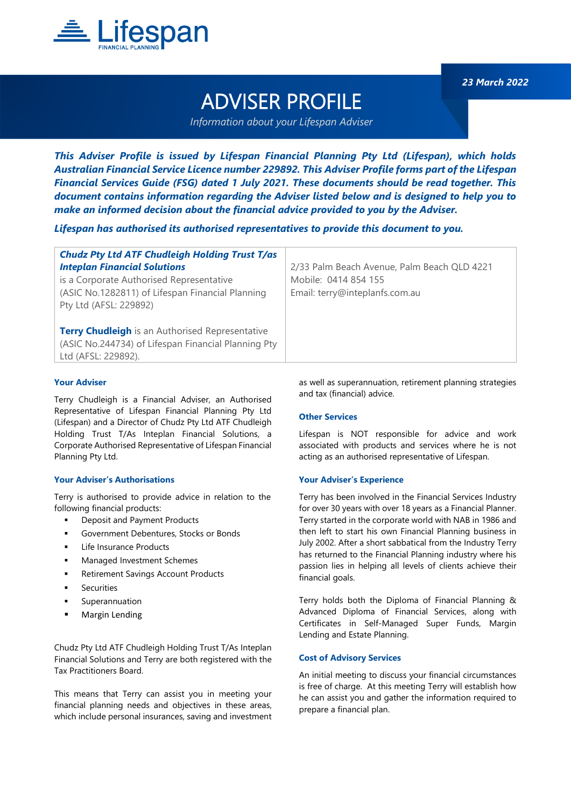

*23 March 2022*

# ADVISER PROFILE

*Information about your Lifespan Adviser*

*This Adviser Profile is issued by Lifespan Financial Planning Pty Ltd (Lifespan), which holds Australian Financial Service Licence number 229892. This Adviser Profile forms part of the Lifespan Financial Services Guide (FSG) dated 1 July 2021. These documents should be read together. This document contains information regarding the Adviser listed below and is designed to help you to make an informed decision about the financial advice provided to you by the Adviser.*

*Lifespan has authorised its authorised representatives to provide this document to you.*

| <b>Chudz Pty Ltd ATF Chudleigh Holding Trust T/as</b>  |                                             |
|--------------------------------------------------------|---------------------------------------------|
| <b>Inteplan Financial Solutions</b>                    | 2/33 Palm Beach Avenue, Palm Beach QLD 4221 |
| is a Corporate Authorised Representative               | Mobile: 0414 854 155                        |
| (ASIC No.1282811) of Lifespan Financial Planning       | Email: terry@inteplanfs.com.au              |
| Pty Ltd (AFSL: 229892)                                 |                                             |
|                                                        |                                             |
| <b>Terry Chudleigh</b> is an Authorised Representative |                                             |
| (ASIC No.244734) of Lifespan Financial Planning Pty    |                                             |
| Ltd (AFSL: 229892).                                    |                                             |

#### **Your Adviser**

Terry Chudleigh is a Financial Adviser, an Authorised Representative of Lifespan Financial Planning Pty Ltd (Lifespan) and a Director of Chudz Pty Ltd ATF Chudleigh Holding Trust T/As Inteplan Financial Solutions, a Corporate Authorised Representative of Lifespan Financial Planning Pty Ltd.

# **Your Adviser's Authorisations**

Terry is authorised to provide advice in relation to the following financial products:

- **Deposit and Payment Products**
- Government Debentures, Stocks or Bonds
- Life Insurance Products
- **Managed Investment Schemes**
- **Retirement Savings Account Products**
- **Securities**
- Superannuation
- Margin Lending

Chudz Pty Ltd ATF Chudleigh Holding Trust T/As Inteplan Financial Solutions and Terry are both registered with the Tax Practitioners Board.

This means that Terry can assist you in meeting your financial planning needs and objectives in these areas, which include personal insurances, saving and investment as well as superannuation, retirement planning strategies and tax (financial) advice.

#### **Other Services**

Lifespan is NOT responsible for advice and work associated with products and services where he is not acting as an authorised representative of Lifespan.

#### **Your Adviser's Experience**

Terry has been involved in the Financial Services Industry for over 30 years with over 18 years as a Financial Planner. Terry started in the corporate world with NAB in 1986 and then left to start his own Financial Planning business in July 2002. After a short sabbatical from the Industry Terry has returned to the Financial Planning industry where his passion lies in helping all levels of clients achieve their financial goals.

Terry holds both the Diploma of Financial Planning & Advanced Diploma of Financial Services, along with Certificates in Self-Managed Super Funds, Margin Lending and Estate Planning.

#### **Cost of Advisory Services**

An initial meeting to discuss your financial circumstances is free of charge. At this meeting Terry will establish how he can assist you and gather the information required to prepare a financial plan.